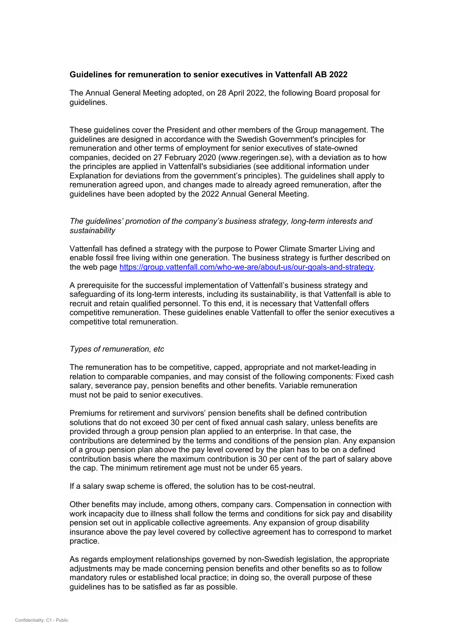# **Guidelines for remuneration to senior executives in Vattenfall AB 2022**

The Annual General Meeting adopted, on 28 April 2022, the following Board proposal for guidelines.

These guidelines cover the President and other members of the Group management. The guidelines are designed in accordance with the Swedish Government's principles for remuneration and other terms of employment for senior executives of state-owned companies, decided on 27 February 2020 (www.regeringen.se), with a deviation as to how the principles are applied in Vattenfall's subsidiaries (see additional information under Explanation for deviations from the government's principles). The guidelines shall apply to remuneration agreed upon, and changes made to already agreed remuneration, after the guidelines have been adopted by the 2022 Annual General Meeting.

## *The guidelines' promotion of the company's business strategy, long-term interests and sustainability*

Vattenfall has defined a strategy with the purpose to Power Climate Smarter Living and enable fossil free living within one generation. The business strategy is further described on the web page [https://group.vattenfall.com/who-we-are/about-us/our-goals-and-strategy.](https://group.vattenfall.com/who-we-are/about-us/our-goals-and-strategy)

A prerequisite for the successful implementation of Vattenfall's business strategy and safeguarding of its long-term interests, including its sustainability, is that Vattenfall is able to recruit and retain qualified personnel. To this end, it is necessary that Vattenfall offers competitive remuneration. These guidelines enable Vattenfall to offer the senior executives a competitive total remuneration.

## *Types of remuneration, etc*

The remuneration has to be competitive, capped, appropriate and not market-leading in relation to comparable companies, and may consist of the following components: Fixed cash salary, severance pay, pension benefits and other benefits. Variable remuneration must not be paid to senior executives.

Premiums for retirement and survivors' pension benefits shall be defined contribution solutions that do not exceed 30 per cent of fixed annual cash salary, unless benefits are provided through a group pension plan applied to an enterprise. In that case, the contributions are determined by the terms and conditions of the pension plan. Any expansion of a group pension plan above the pay level covered by the plan has to be on a defined contribution basis where the maximum contribution is 30 per cent of the part of salary above the cap. The minimum retirement age must not be under 65 years.

If a salary swap scheme is offered, the solution has to be cost-neutral.

Other benefits may include, among others, company cars. Compensation in connection with work incapacity due to illness shall follow the terms and conditions for sick pay and disability pension set out in applicable collective agreements. Any expansion of group disability insurance above the pay level covered by collective agreement has to correspond to market practice.

As regards employment relationships governed by non-Swedish legislation, the appropriate adjustments may be made concerning pension benefits and other benefits so as to follow mandatory rules or established local practice; in doing so, the overall purpose of these guidelines has to be satisfied as far as possible.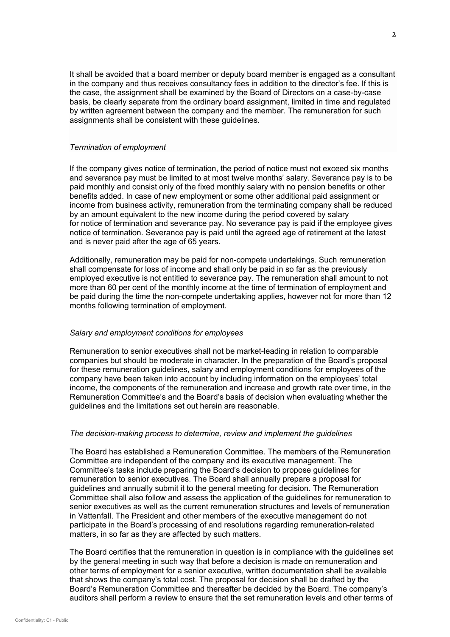It shall be avoided that a board member or deputy board member is engaged as a consultant in the company and thus receives consultancy fees in addition to the director's fee. If this is the case, the assignment shall be examined by the Board of Directors on a case-by-case basis, be clearly separate from the ordinary board assignment, limited in time and regulated by written agreement between the company and the member. The remuneration for such assignments shall be consistent with these guidelines.

### *Termination of employment*

If the company gives notice of termination, the period of notice must not exceed six months and severance pay must be limited to at most twelve months' salary. Severance pay is to be paid monthly and consist only of the fixed monthly salary with no pension benefits or other benefits added. In case of new employment or some other additional paid assignment or income from business activity, remuneration from the terminating company shall be reduced by an amount equivalent to the new income during the period covered by salary for notice of termination and severance pay. No severance pay is paid if the employee gives notice of termination. Severance pay is paid until the agreed age of retirement at the latest and is never paid after the age of 65 years.

Additionally, remuneration may be paid for non-compete undertakings. Such remuneration shall compensate for loss of income and shall only be paid in so far as the previously employed executive is not entitled to severance pay. The remuneration shall amount to not more than 60 per cent of the monthly income at the time of termination of employment and be paid during the time the non-compete undertaking applies, however not for more than 12 months following termination of employment.

### *Salary and employment conditions for employees*

Remuneration to senior executives shall not be market-leading in relation to comparable companies but should be moderate in character. In the preparation of the Board's proposal for these remuneration guidelines, salary and employment conditions for employees of the company have been taken into account by including information on the employees' total income, the components of the remuneration and increase and growth rate over time, in the Remuneration Committee's and the Board's basis of decision when evaluating whether the guidelines and the limitations set out herein are reasonable.

#### *The decision-making process to determine, review and implement the guidelines*

The Board has established a Remuneration Committee. The members of the Remuneration Committee are independent of the company and its executive management. The Committee's tasks include preparing the Board's decision to propose guidelines for remuneration to senior executives. The Board shall annually prepare a proposal for guidelines and annually submit it to the general meeting for decision. The Remuneration Committee shall also follow and assess the application of the guidelines for remuneration to senior executives as well as the current remuneration structures and levels of remuneration in Vattenfall. The President and other members of the executive management do not participate in the Board's processing of and resolutions regarding remuneration-related matters, in so far as they are affected by such matters.

The Board certifies that the remuneration in question is in compliance with the guidelines set by the general meeting in such way that before a decision is made on remuneration and other terms of employment for a senior executive, written documentation shall be available that shows the company's total cost. The proposal for decision shall be drafted by the Board's Remuneration Committee and thereafter be decided by the Board. The company's auditors shall perform a review to ensure that the set remuneration levels and other terms of